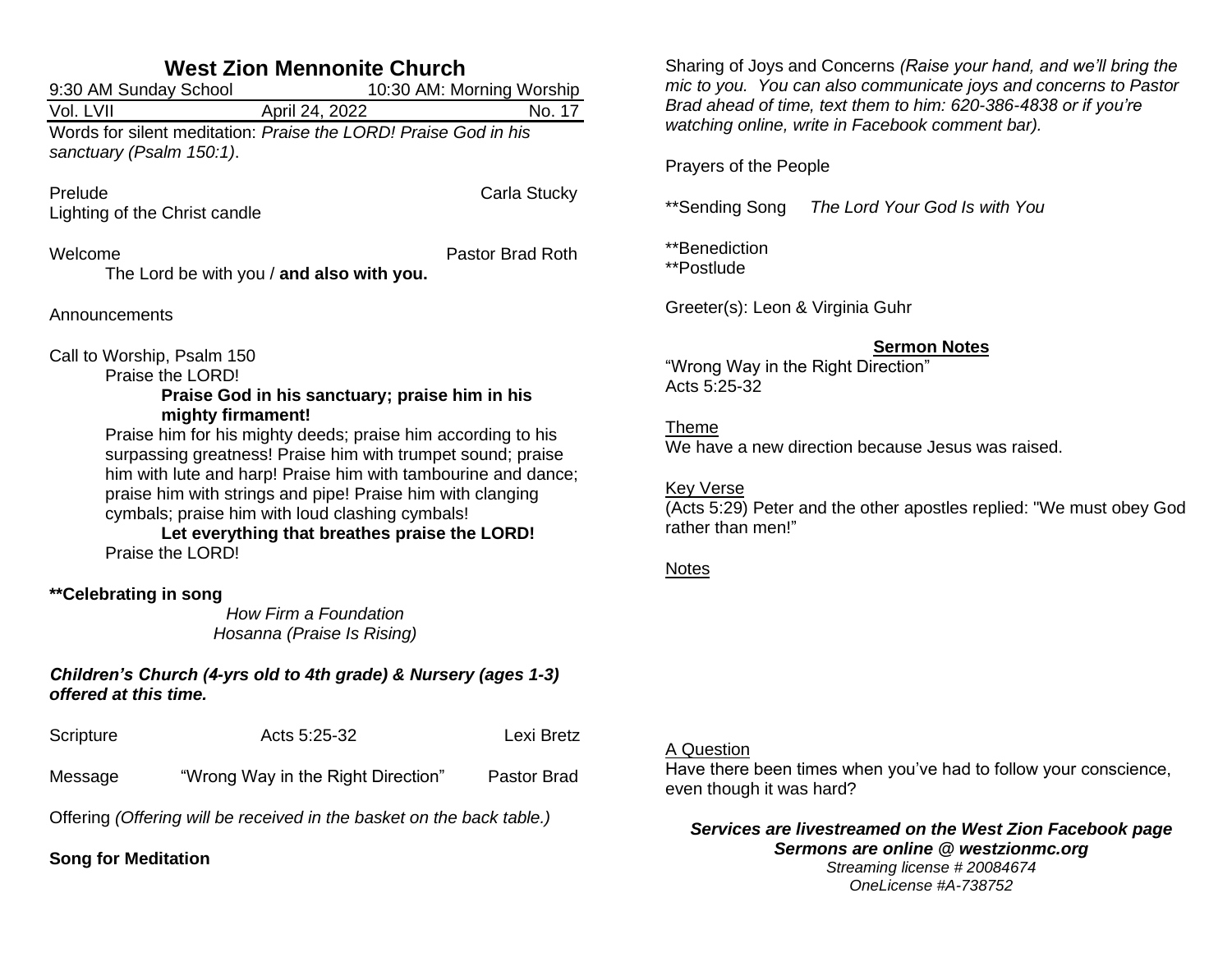| <b>West Zion Mennonite Church</b>                                                        |                                                                                                                                                                                                                                                                                                                                                                                                                                       |                           |  |
|------------------------------------------------------------------------------------------|---------------------------------------------------------------------------------------------------------------------------------------------------------------------------------------------------------------------------------------------------------------------------------------------------------------------------------------------------------------------------------------------------------------------------------------|---------------------------|--|
| 9:30 AM Sunday School                                                                    |                                                                                                                                                                                                                                                                                                                                                                                                                                       | 10:30 AM: Morning Worship |  |
| $\overline{\text{Vol.}}$ LVII                                                            | April 24, 2022                                                                                                                                                                                                                                                                                                                                                                                                                        | No. 17                    |  |
| sanctuary (Psalm 150:1).                                                                 | Words for silent meditation: Praise the LORD! Praise God in his                                                                                                                                                                                                                                                                                                                                                                       |                           |  |
| Prelude<br>Lighting of the Christ candle                                                 |                                                                                                                                                                                                                                                                                                                                                                                                                                       | Carla Stucky              |  |
| Welcome                                                                                  | The Lord be with you / and also with you.                                                                                                                                                                                                                                                                                                                                                                                             | Pastor Brad Roth          |  |
| Announcements                                                                            |                                                                                                                                                                                                                                                                                                                                                                                                                                       |                           |  |
| Call to Worship, Psalm 150<br>Praise the LORD!<br>Praise the LORD!                       | Praise God in his sanctuary; praise him in his<br>mighty firmament!<br>Praise him for his mighty deeds; praise him according to his<br>surpassing greatness! Praise him with trumpet sound; praise<br>him with lute and harp! Praise him with tambourine and dance;<br>praise him with strings and pipe! Praise him with clanging<br>cymbals; praise him with loud clashing cymbals!<br>Let everything that breathes praise the LORD! |                           |  |
| **Celebrating in song                                                                    | How Firm a Foundation<br>Hosanna (Praise Is Rising)                                                                                                                                                                                                                                                                                                                                                                                   |                           |  |
| Children's Church (4-yrs old to 4th grade) & Nursery (ages 1-3)<br>offered at this time. |                                                                                                                                                                                                                                                                                                                                                                                                                                       |                           |  |
| Scripture                                                                                | Acts 5:25-32                                                                                                                                                                                                                                                                                                                                                                                                                          | Lexi Bretz                |  |

Message "Wrong Way in the Right Direction" Pastor Brad

Offering *(Offering will be received in the basket on the back table.)*

**Song for Meditation**

Sharing of Joys and Concerns *(Raise your hand, and we'll bring the mic to you. You can also communicate joys and concerns to Pastor Brad ahead of time, text them to him: 620-386-4838 or if you're watching online, write in Facebook comment bar).*

Prayers of the People

\*\*Sending Song *The Lord Your God Is with You*

\*\*Benediction \*\*Postlude

Greeter(s): Leon & Virginia Guhr

## **Sermon Notes**

"Wrong Way in the Right Direction" Acts 5:25-32

Theme

We have a new direction because Jesus was raised.

Key Verse

(Acts 5:29) Peter and the other apostles replied: "We must obey God rather than men!"

### Notes

### A Question

Have there been times when you've had to follow your conscience, even though it was hard?

*Services are livestreamed on the West Zion Facebook page Sermons are online @ westzionmc.org Streaming license # 20084674 OneLicense #A-738752*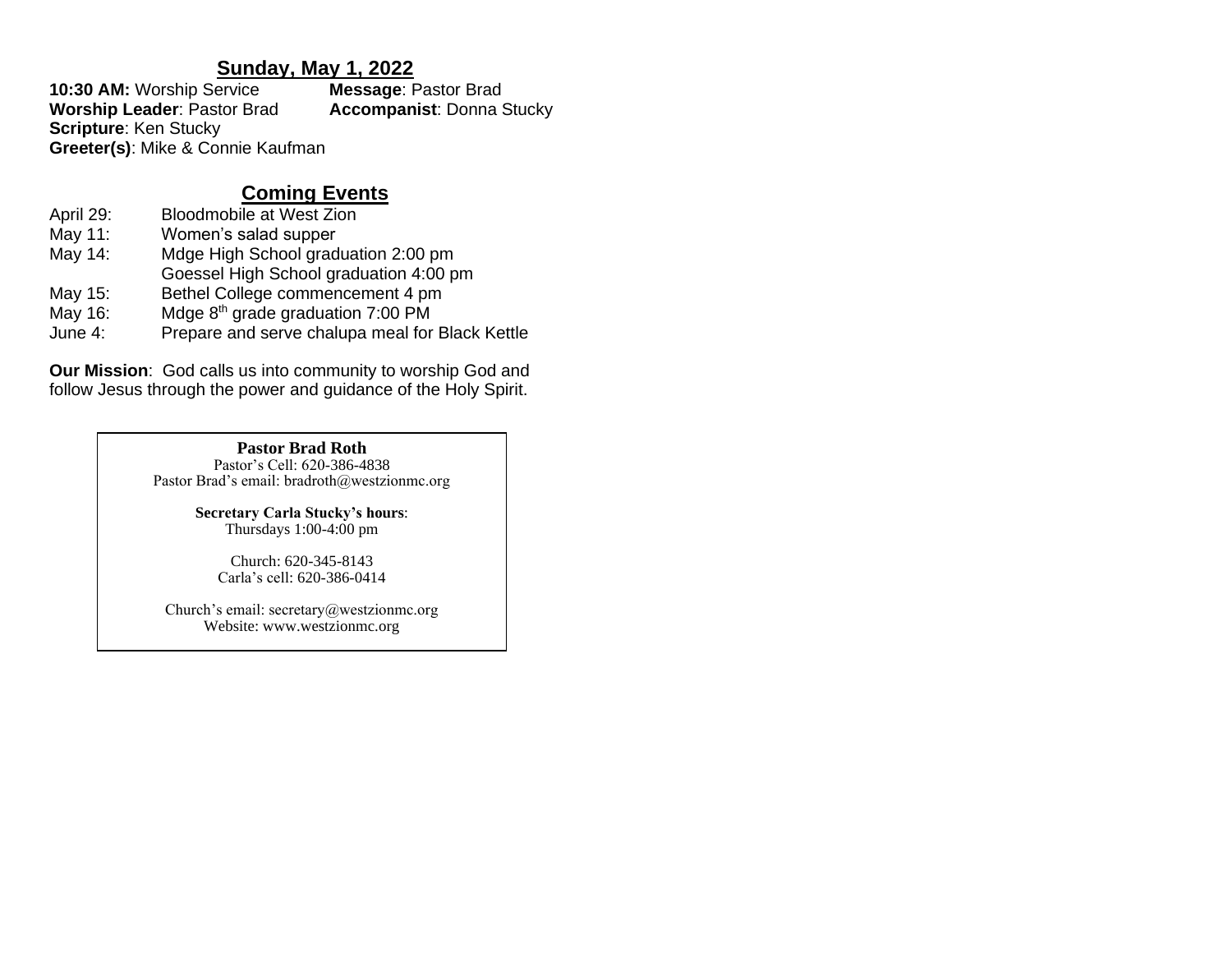## **Sunday, May 1, 2022**

**10:30 AM:** Worship Service **Message**: Pastor Brad **Worship Leader**: Pastor Brad **Accompanist**: Donna Stucky **Scripture**: Ken Stucky **Greeter(s)**: Mike & Connie Kaufman

# **Coming Events**

- April 29: Bloodmobile at West Zion
- May 11: Women's salad supper
- May 14: Mdge High School graduation 2:00 pm
- Goessel High School graduation 4:00 pm
- May 15: Bethel College commencement 4 pm
- May 16: Mdge  $8<sup>th</sup>$  grade graduation 7:00 PM
- June 4: Prepare and serve chalupa meal for Black Kettle

**Our Mission**: God calls us into community to worship God and follow Jesus through the power and guidance of the Holy Spirit.

## **Pastor Brad Roth**

Pastor's Cell: 620-386-4838 Pastor Brad's email: bradroth@westzionmc.org

> **Secretary Carla Stucky's hours**: Thursdays 1:00-4:00 pm

> > Church: 620-345-8143 Carla's cell: 620-386-0414

Church's email: secretary@westzionmc.org Website: www.westzionmc.org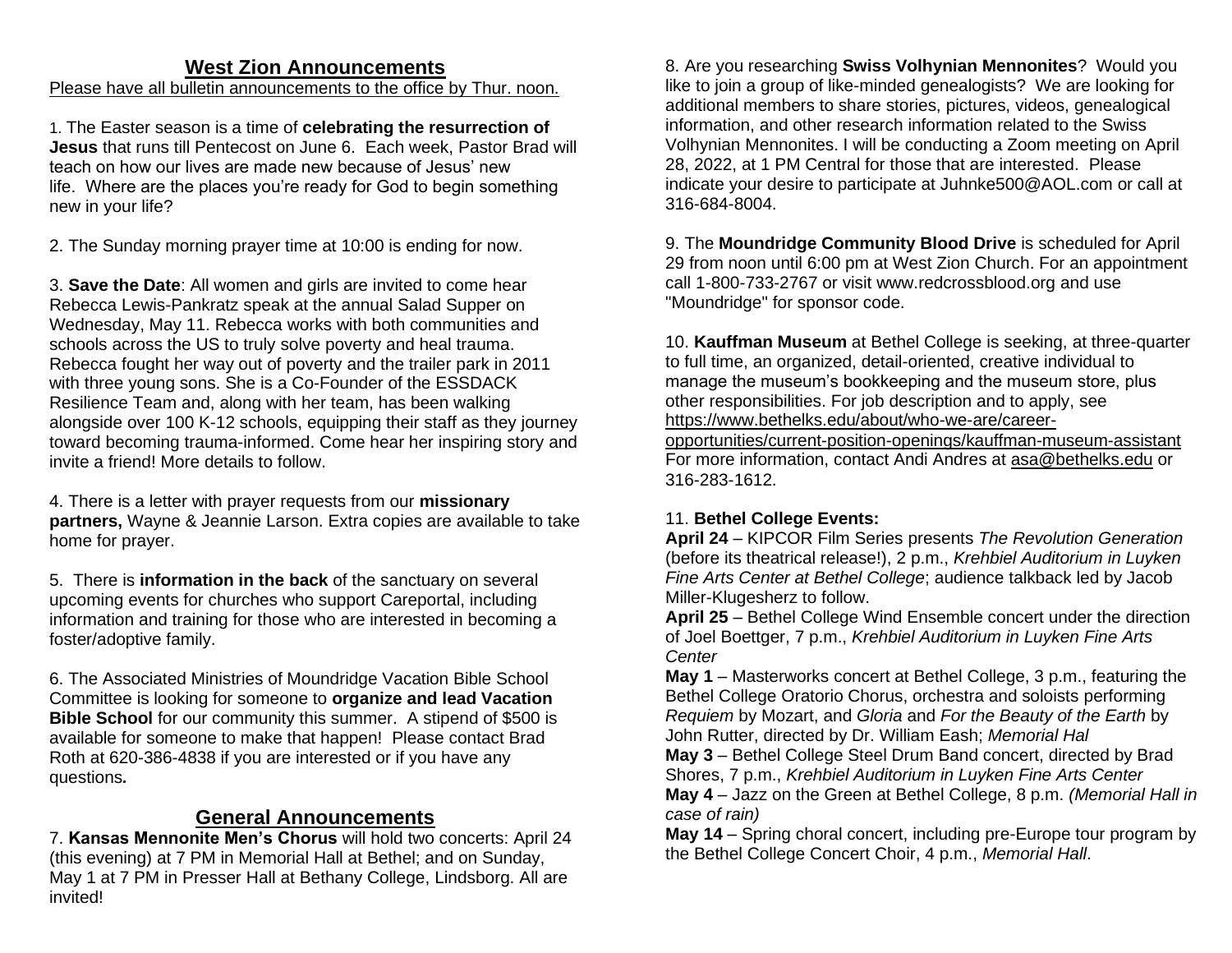# **West Zion Announcements**

## Please have all bulletin announcements to the office by Thur. noon.

1. The Easter season is a time of **celebrating the resurrection of Jesus** that runs till Pentecost on June 6. Each week, Pastor Brad will teach on how our lives are made new because of Jesus' new life. Where are the places you're ready for God to begin something new in your life?

2. The Sunday morning prayer time at 10:00 is ending for now.

3. **Save the Date**: All women and girls are invited to come hear Rebecca Lewis-Pankratz speak at the annual Salad Supper on Wednesday, May 11. Rebecca works with both communities and schools across the US to truly solve poverty and heal trauma. Rebecca fought her way out of poverty and the trailer park in 2011 with three young sons. She is a Co-Founder of the ESSDACK Resilience Team and, along with her team, has been walking alongside over 100 K-12 schools, equipping their staff as they journey toward becoming trauma-informed. Come hear her inspiring story and invite a friend! More details to follow.

4. There is a letter with prayer requests from our **missionary partners,** Wayne & Jeannie Larson. Extra copies are available to take home for prayer.

5. There is **information in the back** of the sanctuary on several upcoming events for churches who support Careportal, including information and training for those who are interested in becoming a foster/adoptive family.

6. The Associated Ministries of Moundridge Vacation Bible School Committee is looking for someone to **organize and lead Vacation Bible School** for our community this summer. A stipend of \$500 is available for someone to make that happen! Please contact Brad Roth at 620-386-4838 if you are interested or if you have any questions*.*

# **General Announcements**

7. **Kansas Mennonite Men's Chorus** will hold two concerts: April 24 (this evening) at 7 PM in Memorial Hall at Bethel; and on Sunday, May 1 at 7 PM in Presser Hall at Bethany College, Lindsborg. All are invited!

8. Are you researching **Swiss Volhynian Mennonites**? Would you like to join a group of like-minded genealogists? We are looking for additional members to share stories, pictures, videos, genealogical information, and other research information related to the Swiss Volhynian Mennonites. I will be conducting a Zoom meeting on April 28, 2022, at 1 PM Central for those that are interested. Please indicate your desire to participate at [Juhnke500@AOL.com](mailto:Juhnke500@AOL.com) or call at 316-684-8004.

9. The **Moundridge Community Blood Drive** is scheduled for April 29 from noon until 6:00 pm at West Zion Church. For an appointment call 1-800-733-2767 or visit [www.redcrossblood.org](http://www.redcrossblood.org/) and use "Moundridge" for sponsor code.

10. **Kauffman Museum** at Bethel College is seeking, at three-quarter to full time, an organized, detail-oriented, creative individual to manage the museum's bookkeeping and the museum store, plus other responsibilities. For job description and to apply, see [https://www.bethelks.edu/about/who-we-are/career-](https://www.bethelks.edu/about/who-we-are/career-opportunities/current-position-openings/kauffman-museum-assistant)

[opportunities/current-position-openings/kauffman-museum-assistant](https://www.bethelks.edu/about/who-we-are/career-opportunities/current-position-openings/kauffman-museum-assistant) For more information, contact Andi Andres at [asa@bethelks.edu](mailto:asa@bethelks.edu) or 316-283-1612.

## 11. **Bethel College Events:**

**April 24** – KIPCOR Film Series presents *The Revolution Generation*  (before its theatrical release!), 2 p.m., *Krehbiel Auditorium in Luyken Fine Arts Center at Bethel College*; audience talkback led by Jacob Miller-Klugesherz to follow.

**April 25** – Bethel College Wind Ensemble concert under the direction of Joel Boettger, 7 p.m., *Krehbiel Auditorium in Luyken Fine Arts Center*

**May 1** – Masterworks concert at Bethel College, 3 p.m., featuring the Bethel College Oratorio Chorus, orchestra and soloists performing *Requiem* by Mozart, and *Gloria* and *For the Beauty of the Earth* by John Rutter, directed by Dr. William Eash; *Memorial Hal*

**May 3** – Bethel College Steel Drum Band concert, directed by Brad Shores, 7 p.m., *Krehbiel Auditorium in Luyken Fine Arts Center* **May 4** – Jazz on the Green at Bethel College, 8 p.m. *(Memorial Hall in case of rain)*

**May 14** – Spring choral concert, including pre-Europe tour program by the Bethel College Concert Choir, 4 p.m., *Memorial Hall*.